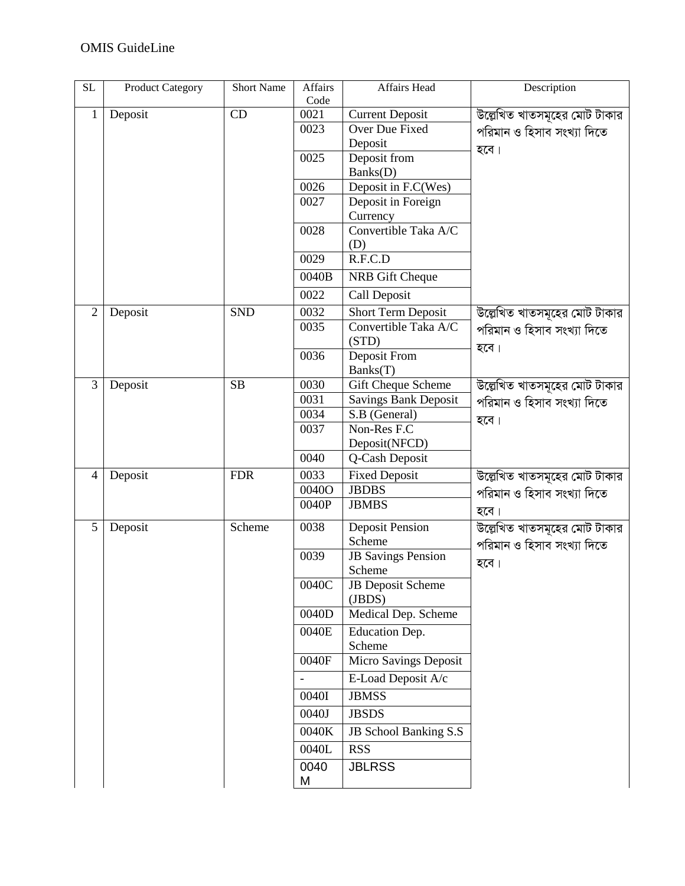| $\overline{SL}$ | <b>Product Category</b> | <b>Short Name</b> | Affairs<br>Code | Affairs Head                         | Description                        |
|-----------------|-------------------------|-------------------|-----------------|--------------------------------------|------------------------------------|
| $\mathbf{1}$    | Deposit                 | CD                | 0021            | <b>Current Deposit</b>               | উল্লেখিত খাতসমূহের মোট টাকার       |
|                 |                         |                   | 0023            | Over Due Fixed                       | পরিমান ও হিসাব সংখ্যা দিতে         |
|                 |                         |                   |                 | Deposit                              | হবে।                               |
|                 |                         |                   | 0025            | Deposit from                         |                                    |
|                 |                         |                   |                 | Banks(D)                             |                                    |
|                 |                         |                   | 0026            | Deposit in F.C(Wes)                  |                                    |
|                 |                         |                   | 0027            | Deposit in Foreign                   |                                    |
|                 |                         |                   |                 | Currency                             |                                    |
|                 |                         |                   | 0028            | Convertible Taka A/C                 |                                    |
|                 |                         |                   |                 | (D)                                  |                                    |
|                 |                         |                   | 0029            | R.F.C.D                              |                                    |
|                 |                         |                   | 0040B           | NRB Gift Cheque                      |                                    |
|                 |                         |                   | 0022            | Call Deposit                         |                                    |
| $\overline{2}$  | Deposit                 | <b>SND</b>        | 0032            | <b>Short Term Deposit</b>            | উল্লেখিত খাতসমূহের মোট টাকার       |
|                 |                         |                   | 0035            | Convertible Taka A/C<br>(STD)        | পরিমান ও হিসাব সংখ্যা দিতে<br>হবে। |
|                 |                         |                   | 0036            | Deposit From                         |                                    |
|                 |                         |                   |                 | Banks(T)                             |                                    |
| 3               | Deposit                 | SB                | 0030            | Gift Cheque Scheme                   | উল্লেখিত খাতসমূহের মোট টাকার       |
|                 |                         |                   | 0031            | <b>Savings Bank Deposit</b>          | পরিমান ও হিসাব সংখ্যা দিতে         |
|                 |                         |                   | 0034            | S.B (General)                        | হবে।                               |
|                 |                         |                   | 0037            | Non-Res F.C                          |                                    |
|                 |                         |                   | 0040            | Deposit(NFCD)                        |                                    |
|                 |                         |                   |                 | Q-Cash Deposit                       |                                    |
| 4               | Deposit                 | <b>FDR</b>        | 0033<br>0040O   | <b>Fixed Deposit</b><br><b>JBDBS</b> | উল্লেখিত খাতসমূহের মোট টাকার       |
|                 |                         |                   | 0040P           | <b>JBMBS</b>                         | পরিমান ও হিসাব সংখ্যা দিতে         |
|                 |                         |                   |                 |                                      | হবে।                               |
| 5               | Deposit                 | Scheme            | 0038            | <b>Deposit Pension</b>               | উল্লেখিত খাতসমূহের মোট টাকার       |
|                 |                         |                   |                 | Scheme                               | পরিমান ও হিসাব সংখ্যা দিতে         |
|                 |                         |                   | 0039            | <b>JB</b> Savings Pension<br>Scheme  | হবে।                               |
|                 |                         |                   | 0040C           | <b>JB</b> Deposit Scheme             |                                    |
|                 |                         |                   |                 | (JBDS)                               |                                    |
|                 |                         |                   | 0040D           | Medical Dep. Scheme                  |                                    |
|                 |                         |                   | 0040E           | Education Dep.                       |                                    |
|                 |                         |                   |                 | Scheme                               |                                    |
|                 |                         |                   | 0040F           | Micro Savings Deposit                |                                    |
|                 |                         |                   |                 | E-Load Deposit A/c                   |                                    |
|                 |                         |                   | 0040I           | <b>JBMSS</b>                         |                                    |
|                 |                         |                   | 0040J           | <b>JBSDS</b>                         |                                    |
|                 |                         |                   | 0040K           | JB School Banking S.S                |                                    |
|                 |                         |                   | 0040L           | <b>RSS</b>                           |                                    |
|                 |                         |                   | 0040            | <b>JBLRSS</b>                        |                                    |
|                 |                         |                   | M               |                                      |                                    |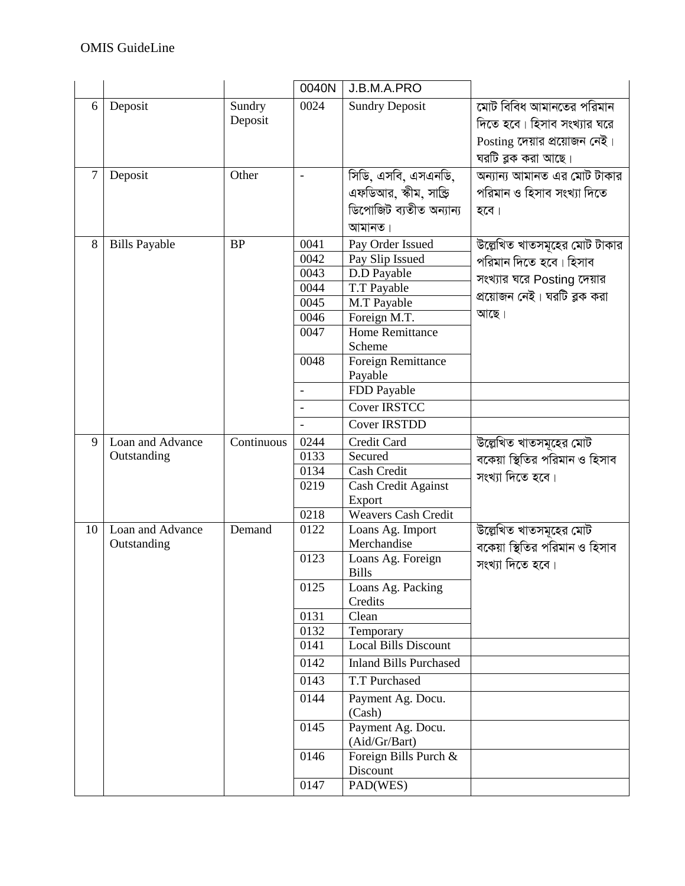|    |                      |            | 0040N                    | J.B.M.A.PRO                          |                               |
|----|----------------------|------------|--------------------------|--------------------------------------|-------------------------------|
| 6  | Deposit              | Sundry     | 0024                     | <b>Sundry Deposit</b>                | মোট বিবিধ আমানতের পরিমান      |
|    |                      | Deposit    |                          |                                      | দিতে হবে। হিসাব সংখ্যার ঘরে   |
|    |                      |            |                          |                                      | Posting দেয়ার প্রয়োজন নেই।  |
|    |                      |            |                          |                                      | ঘরটি ব্লক করা আছে।            |
| 7  | Deposit              | Other      | $\overline{\phantom{0}}$ | সিডি, এসবি, এসএনডি,                  | অন্যান্য আমানত এর মোট টাকার   |
|    |                      |            |                          | এফডিআর, স্কীম, সাক্তি                | পরিমান ও হিসাব সংখ্যা দিতে    |
|    |                      |            |                          | ডিপোজিট ব্যতীত অন্যান্য              | হবে।                          |
|    |                      |            |                          | আমানত।                               |                               |
| 8  | <b>Bills Payable</b> | <b>BP</b>  | 0041                     | Pay Order Issued                     | উল্লেখিত খাতসমূহের মোট টাকার  |
|    |                      |            | 0042                     | Pay Slip Issued                      | পরিমান দিতে হবে। হিসাব        |
|    |                      |            | 0043                     | D.D Payable                          | সংখ্যার ঘরে Posting দেয়ার    |
|    |                      |            | 0044                     | T.T Payable                          | প্রয়োজন নেই। ঘরটি ব্লক করা   |
|    |                      |            | 0045                     | M.T Payable                          |                               |
|    |                      |            | 0046                     | Foreign M.T.                         | আছে।                          |
|    |                      |            | 0047                     | <b>Home Remittance</b>               |                               |
|    |                      |            |                          | Scheme                               |                               |
|    |                      |            | 0048                     | Foreign Remittance                   |                               |
|    |                      |            |                          | Payable                              |                               |
|    |                      |            | $\blacksquare$           | FDD Payable                          |                               |
|    |                      |            |                          | <b>Cover IRSTCC</b>                  |                               |
|    |                      |            |                          | <b>Cover IRSTDD</b>                  |                               |
| 9  | Loan and Advance     | Continuous | 0244                     | Credit Card                          | উল্লেখিত খাতসমূহের মোট        |
|    | Outstanding          |            | 0133                     | Secured                              | বকেয়া স্থিতির পরিমান ও হিসাব |
|    |                      |            | 0134                     | Cash Credit                          | সংখ্যা দিতে হবে।              |
|    |                      |            | 0219                     | Cash Credit Against                  |                               |
|    |                      |            | 0218                     | Export<br><b>Weavers Cash Credit</b> |                               |
| 10 | Loan and Advance     | Demand     | 0122                     | Loans Ag. Import                     | উল্লেখিত খাতসমূহের মোট        |
|    | Outstanding          |            |                          | Merchandise                          | বকেয়া স্থিতির পরিমান ও হিসাব |
|    |                      |            | 0123                     | Loans Ag. Foreign                    | সংখ্যা দিতে হবে।              |
|    |                      |            |                          | <b>Bills</b>                         |                               |
|    |                      |            | 0125                     | Loans Ag. Packing                    |                               |
|    |                      |            |                          | Credits                              |                               |
|    |                      |            | 0131                     | Clean                                |                               |
|    |                      |            | 0132                     | Temporary                            |                               |
|    |                      |            | 0141                     | <b>Local Bills Discount</b>          |                               |
|    |                      |            | 0142                     | <b>Inland Bills Purchased</b>        |                               |
|    |                      |            | 0143                     | T.T Purchased                        |                               |
|    |                      |            | 0144                     | Payment Ag. Docu.                    |                               |
|    |                      |            |                          | (Cash)                               |                               |
|    |                      |            | 0145                     | Payment Ag. Docu.                    |                               |
|    |                      |            |                          | (Aid/Gr/Bart)                        |                               |
|    |                      |            | 0146                     | Foreign Bills Purch &                |                               |
|    |                      |            |                          | Discount                             |                               |
|    |                      |            | 0147                     | PAD(WES)                             |                               |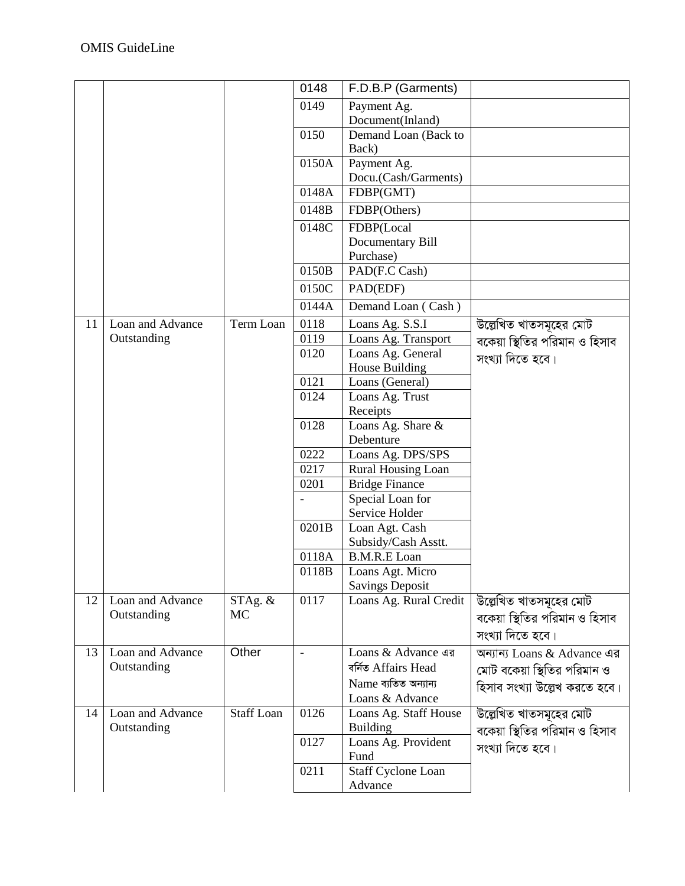|    |                  |                   | 0148                     | F.D.B.P (Garments)        |                               |
|----|------------------|-------------------|--------------------------|---------------------------|-------------------------------|
|    |                  |                   | 0149                     | Payment Ag.               |                               |
|    |                  |                   |                          | Document(Inland)          |                               |
|    |                  |                   | 0150                     | Demand Loan (Back to      |                               |
|    |                  |                   |                          | Back)                     |                               |
|    |                  |                   | 0150A                    | Payment Ag.               |                               |
|    |                  |                   |                          | Docu.(Cash/Garments)      |                               |
|    |                  |                   | 0148A                    | FDBP(GMT)                 |                               |
|    |                  |                   | 0148B                    | FDBP(Others)              |                               |
|    |                  |                   | 0148C                    | FDBP(Local                |                               |
|    |                  |                   |                          | Documentary Bill          |                               |
|    |                  |                   |                          | Purchase)                 |                               |
|    |                  |                   | 0150B                    | PAD(F.C Cash)             |                               |
|    |                  |                   | 0150C                    | PAD(EDF)                  |                               |
|    |                  |                   | 0144A                    | Demand Loan (Cash)        |                               |
| 11 | Loan and Advance | Term Loan         | 0118                     | Loans Ag. S.S.I           | উল্লেখিত খাতসমূহের মোট        |
|    | Outstanding      |                   | 0119                     | Loans Ag. Transport       | বকেয়া স্থিতির পরিমান ও হিসাব |
|    |                  |                   | 0120                     | Loans Ag. General         | সংখ্যা দিতে হবে।              |
|    |                  |                   |                          | House Building            |                               |
|    |                  |                   | 0121                     | Loans (General)           |                               |
|    |                  |                   | 0124                     | Loans Ag. Trust           |                               |
|    |                  |                   |                          | Receipts                  |                               |
|    |                  |                   | 0128                     | Loans Ag. Share &         |                               |
|    |                  |                   |                          | Debenture                 |                               |
|    |                  |                   | 0222                     | Loans Ag. DPS/SPS         |                               |
|    |                  |                   | 0217                     | Rural Housing Loan        |                               |
|    |                  |                   | 0201                     | <b>Bridge Finance</b>     |                               |
|    |                  |                   |                          | Special Loan for          |                               |
|    |                  |                   |                          | Service Holder            |                               |
|    |                  |                   | 0201B                    | Loan Agt. Cash            |                               |
|    |                  |                   |                          | Subsidy/Cash Asstt.       |                               |
|    |                  |                   | 0118A                    | <b>B.M.R.E</b> Loan       |                               |
|    |                  |                   | 0118B                    | Loans Agt. Micro          |                               |
|    |                  |                   |                          | <b>Savings Deposit</b>    |                               |
| 12 | Loan and Advance | STAg. &           | 0117                     | Loans Ag. Rural Credit    | উল্লেখিত খাতসমূহের মোট        |
|    | Outstanding      | MC                |                          |                           | বকেয়া স্থিতির পরিমান ও হিসাব |
|    |                  |                   |                          |                           | সংখ্যা দিতে হবে।              |
| 13 | Loan and Advance | Other             | $\overline{\phantom{a}}$ | Loans & Advance এর        | অন্যান্য Loans & Advance এর   |
|    | Outstanding      |                   |                          | বৰ্ণিত Affairs Head       | মোট বকেয়া স্থিতির পরিমান ও   |
|    |                  |                   |                          | Name ব্যতিত অন্যান্য      | হিসাব সংখ্যা উল্লেখ করতে হবে। |
|    |                  |                   |                          | Loans & Advance           |                               |
| 14 | Loan and Advance | <b>Staff Loan</b> | 0126                     | Loans Ag. Staff House     | উল্লেখিত খাতসমূহের মোট        |
|    | Outstanding      |                   |                          | <b>Building</b>           | বকেয়া স্থিতির পরিমান ও হিসাব |
|    |                  |                   | 0127                     | Loans Ag. Provident       | সংখ্যা দিতে হবে।              |
|    |                  |                   |                          | Fund                      |                               |
|    |                  |                   | 0211                     | <b>Staff Cyclone Loan</b> |                               |
|    |                  |                   |                          | Advance                   |                               |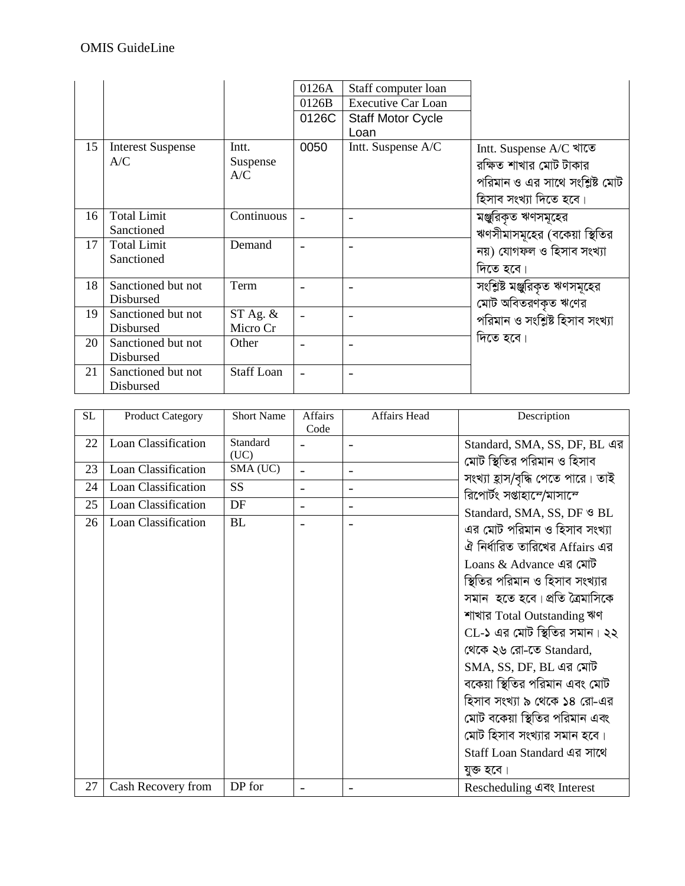|    |                          |                   | 0126A                    | Staff computer loan       |                                 |
|----|--------------------------|-------------------|--------------------------|---------------------------|---------------------------------|
|    |                          |                   | 0126B                    | <b>Executive Car Loan</b> |                                 |
|    |                          |                   | 0126C                    | <b>Staff Motor Cycle</b>  |                                 |
|    |                          |                   |                          | Loan                      |                                 |
| 15 | <b>Interest Suspense</b> | Intt.             | 0050                     | Intt. Suspense A/C        | Intt. Suspense A/C খাতে         |
|    | A/C                      | Suspense          |                          |                           | রক্ষিত শাখার মোট টাকার          |
|    |                          | A/C               |                          |                           | পরিমান ও এর সাথে সংশ্লিষ্ট মোট  |
|    |                          |                   |                          |                           | হিসাব সংখ্যা দিতে হবে।          |
| 16 | <b>Total Limit</b>       | Continuous        |                          |                           | মঞ্জুরিকৃত ঋণসমূহের             |
|    | Sanctioned               |                   |                          |                           | ঋণসীমাসমূহের (বকেয়া স্থিতির    |
| 17 | <b>Total Limit</b>       | Demand            | $\overline{\phantom{0}}$ |                           | নয়) যোগফল ও হিসাব সংখ্যা       |
|    | Sanctioned               |                   |                          |                           | দিতে হবে।                       |
|    |                          |                   |                          |                           |                                 |
| 18 | Sanctioned but not       | Term              |                          |                           | সংশ্লিষ্ট মঞ্জুরিকৃত ঋণসমূহের   |
|    | <b>Disbursed</b>         |                   |                          |                           | মোট অবিতরণকৃত ঋণের              |
| 19 | Sanctioned but not       | $ST$ Ag. $\&$     |                          |                           | পরিমান ও সংশ্লিষ্ট হিসাব সংখ্যা |
|    | Disbursed                | Micro Cr          |                          |                           |                                 |
| 20 | Sanctioned but not       | Other             |                          |                           | দিতে হবে।                       |
|    | Disbursed                |                   |                          |                           |                                 |
| 21 | Sanctioned but not       | <b>Staff Loan</b> | $\overline{\phantom{0}}$ |                           |                                 |
|    | Disbursed                |                   |                          |                           |                                 |

| <b>SL</b> | <b>Product Category</b> | <b>Short Name</b> | <b>Affairs</b><br>Code   | Affairs Head   | Description                                                |
|-----------|-------------------------|-------------------|--------------------------|----------------|------------------------------------------------------------|
| 22        | Loan Classification     | Standard<br>(UC)  |                          |                | Standard, SMA, SS, DF, BL এর<br>মোট স্থিতির পরিমান ও হিসাব |
| 23        | Loan Classification     | SMA (UC)          |                          | $\blacksquare$ | সংখ্যা হ্রাস/বৃদ্ধি পেতে পারে। তাই                         |
| 24        | Loan Classification     | <b>SS</b>         | $\blacksquare$           |                | রিপোর্টং সপ্তাহান্দে/মাসান্দে                              |
| 25        | Loan Classification     | DF                | $\overline{\phantom{0}}$ |                | Standard, SMA, SS, DF & BL                                 |
| 26        | Loan Classification     | <b>BL</b>         |                          |                | এর মোট পরিমান ও হিসাব সংখ্যা                               |
|           |                         |                   |                          |                | ঐ নির্ধারিত তারিখের Affairs এর                             |
|           |                         |                   |                          |                | Loans & Advance এর মোট                                     |
|           |                         |                   |                          |                | স্থিতির পরিমান ও হিসাব সংখ্যার                             |
|           |                         |                   |                          |                | সমান  হতে হবে। প্রতি ত্রৈমাসিকে                            |
|           |                         |                   |                          |                | শাখার Total Outstanding ঋণ                                 |
|           |                         |                   |                          |                | CL-১ এর মোট স্থিতির সমান। ২২                               |
|           |                         |                   |                          |                | থেকে ২৬ রো-তে Standard,                                    |
|           |                         |                   |                          |                | SMA, SS, DF, BL এর মোট                                     |
|           |                         |                   |                          |                | বকেয়া স্থিতির পরিমান এবং মোট                              |
|           |                         |                   |                          |                | হিসাব সংখ্যা ৯ থেকে ১৪ রো-এর                               |
|           |                         |                   |                          |                | মোট বকেয়া স্থিতির পরিমান এবং                              |
|           |                         |                   |                          |                | মোট হিসাব সংখ্যার সমান হবে।                                |
|           |                         |                   |                          |                | Staff Loan Standard এর সাথে                                |
|           |                         |                   |                          |                | যুক্ত হবে।                                                 |
| 27        | Cash Recovery from      | DP for            |                          |                | Rescheduling এবং Interest                                  |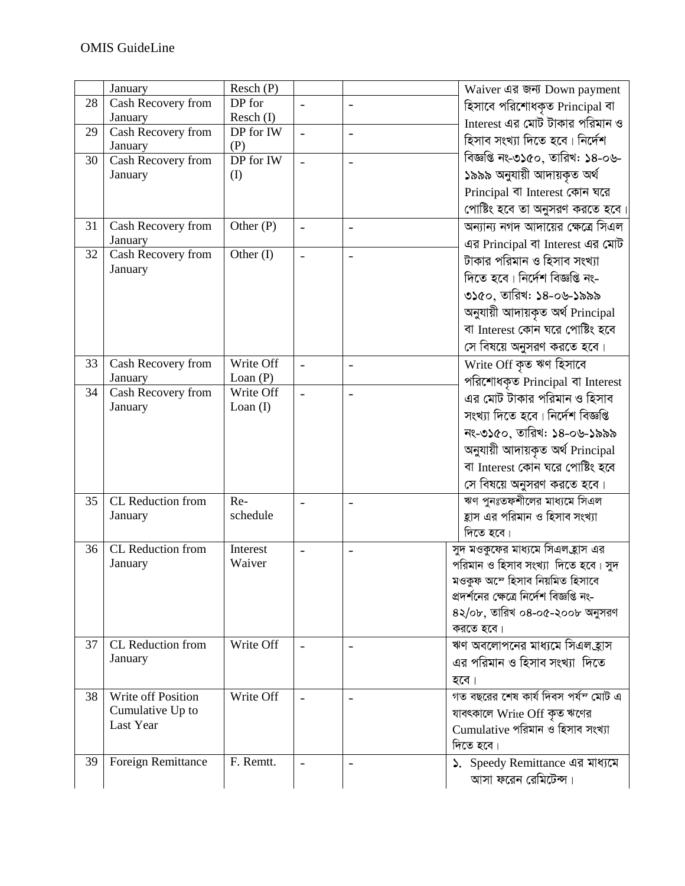|    | January                       | Resch(P)                |                          |                          | Waiver এর জন্য Down payment               |
|----|-------------------------------|-------------------------|--------------------------|--------------------------|-------------------------------------------|
| 28 | Cash Recovery from            | DP for                  |                          |                          | হিসাবে পরিশোধকৃত Principal বা             |
|    | January                       | Resch (I)               |                          |                          | Interest এর মোট টাকার পরিমান ও            |
| 29 | Cash Recovery from            | DP for IW               |                          |                          | হিসাব সংখ্যা দিতে হবে। নির্দেশ            |
|    | January                       | (P)                     |                          |                          |                                           |
| 30 | Cash Recovery from            | DP for IW               |                          | $\blacksquare$           | বিজ্ঞপ্তি নং-৩১৫০, তারিখ: ১৪-০৬-          |
|    | January                       | (I)                     |                          |                          | ১৯৯৯ অনুযায়ী আদায়কৃত অৰ্থ               |
|    |                               |                         |                          |                          | Principal বা Interest কোন ঘরে             |
|    |                               |                         |                          |                          | পোষ্টিং হবে তা অনুসরণ করতে হবে            |
| 31 | Cash Recovery from            | $\overline{O}$ ther (P) |                          |                          | অন্যান্য নগদ আদায়ের ক্ষেত্রে সিএল        |
|    | January                       |                         |                          |                          | এর Principal বা Interest এর মোট           |
| 32 | Cash Recovery from            | Other (I)               |                          |                          |                                           |
|    | January                       |                         |                          |                          | টাকার পরিমান ও হিসাব সংখ্যা               |
|    |                               |                         |                          |                          | দিতে হবে। নির্দেশ বিজ্ঞপ্তি নং-           |
|    |                               |                         |                          |                          | ৩১৫০, তারিখ: ১৪-০৬-১৯৯৯                   |
|    |                               |                         |                          |                          | অনুযায়ী আদায়কৃত অৰ্থ Principal          |
|    |                               |                         |                          |                          | বা Interest কোন ঘরে পোষ্টিং হবে           |
|    |                               |                         |                          |                          | সে বিষয়ে অনুসরণ করতে হবে।                |
| 33 | Cash Recovery from            | Write Off               |                          |                          |                                           |
|    | January                       | Loan $(P)$              | $\overline{\phantom{a}}$ | $\overline{\phantom{a}}$ | Write Off কৃত ঋণ হিসাবে                   |
| 34 | <b>Cash Recovery from</b>     | Write Off               | $\sim$                   | $\blacksquare$           | পরিশোধকৃত Principal বা Interest           |
|    | January                       | Loan $(I)$              |                          |                          | এর মোট টাকার পরিমান ও হিসাব               |
|    |                               |                         |                          |                          | সংখ্যা দিতে হবে। নিৰ্দেশ বিজ্ঞপ্তি        |
|    |                               |                         |                          |                          | নং-৩১৫০, তারিখ: ১৪-০৬-১৯৯৯                |
|    |                               |                         |                          |                          | অনুযায়ী আদায়কৃত অৰ্থ Principal          |
|    |                               |                         |                          |                          | বা Interest কোন ঘরে পোষ্টিং হবে           |
|    |                               |                         |                          |                          |                                           |
|    |                               |                         |                          |                          | সে বিষয়ে অনুসরণ করতে হবে।                |
| 35 | CL Reduction from             | Re-                     |                          |                          | ঋণ পুনঃতফশীলের মাধ্যমে সিএল               |
|    | January                       | schedule                |                          |                          | হ্রাস এর পরিমান ও হিসাব সংখ্যা            |
|    |                               |                         |                          |                          | দিতে হবে।                                 |
| 36 | CL Reduction from             | Interest                |                          |                          | সুদ মওকুফের মাধ্যমে সিএলহ্রাস এর          |
|    | January                       | Waiver                  |                          |                          | পরিমান ও হিসাব সংখ্যা  দিতে হবে। সুদ      |
|    |                               |                         |                          |                          | মওকুফ অস্টে হিসাব নিয়মিত হিসাবে          |
|    |                               |                         |                          |                          | প্রদর্শনের ক্ষেত্রে নির্দেশ বিজ্ঞপ্তি নং- |
|    |                               |                         |                          |                          | ৪২/০৮, তারিখ ০৪-০৫-২০০৮ অনুসরণ            |
|    |                               |                         |                          |                          | করতে হবে।                                 |
| 37 | CL Reduction from             | Write Off               |                          |                          | ঋণ অবলোপনের মাধ্যমে সিএলহ্রাস             |
|    | January                       |                         |                          |                          | এর পরিমান ও হিসাব সংখ্যা  দিতে            |
|    |                               |                         |                          |                          | হবে।                                      |
| 38 | Write off Position            | Write Off               |                          |                          | গত বছরের শেষ কার্য দিবস পর্যন্দ মোট এ     |
|    |                               |                         |                          |                          |                                           |
|    | Cumulative Up to<br>Last Year |                         |                          |                          | যাবৎকালে Write Off কৃত ঋণের               |
|    |                               |                         |                          |                          | Cumulative পরিমান ও হিসাব সংখ্যা          |
|    |                               |                         |                          |                          | দিতে হবে।                                 |
| 39 | Foreign Remittance            | F. Remtt.               | $\overline{\phantom{a}}$ |                          | ১. Speedy Remittance এর মাধ্যমে           |
|    |                               |                         |                          |                          | আসা ফরেন রেমিটেন্স।                       |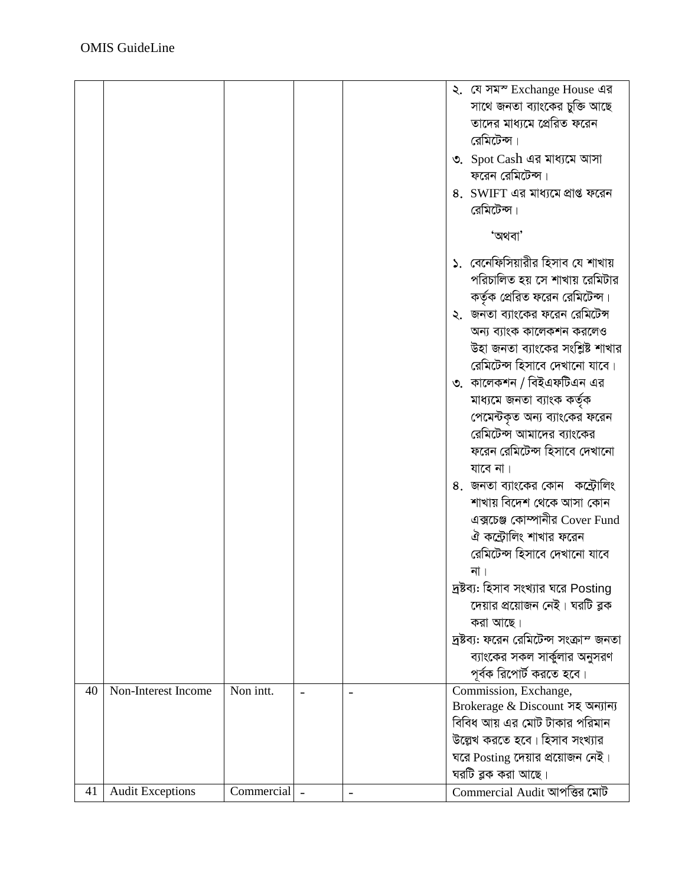|    |                         |            |  | ২. যে সমস্ Exchange House এর            |
|----|-------------------------|------------|--|-----------------------------------------|
|    |                         |            |  | সাথে জনতা ব্যাংকের চুক্তি আছে           |
|    |                         |            |  | তাদের মাধ্যমে প্রেরিত ফরেন              |
|    |                         |            |  | রেমিটেন্স।                              |
|    |                         |            |  | ৩. Spot Cash এর মাধ্যমে আসা             |
|    |                         |            |  | ফরেন রেমিটেন্স।                         |
|    |                         |            |  | 8. SWIFT এর মাধ্যমে প্রাপ্ত ফরেন        |
|    |                         |            |  | রেমিটেন্স।                              |
|    |                         |            |  |                                         |
|    |                         |            |  | 'অথবা'                                  |
|    |                         |            |  | ১. বেনেফিসিয়ারীর হিসাব যে শাখায়       |
|    |                         |            |  | পরিচালিত হয় সে শাখায় রেমিটার          |
|    |                         |            |  | কর্তৃক প্রেরিত ফরেন রেমিটেন্স।          |
|    |                         |            |  | ২.  জনতা ব্যাংকের ফরেন রেমিটেন্স        |
|    |                         |            |  | অন্য ব্যাংক কালেকশন করলেও               |
|    |                         |            |  | উহা জনতা ব্যাংকের সংশ্লিষ্ট শাখার       |
|    |                         |            |  | রেমিটেন্স হিসাবে দেখানো যাবে।           |
|    |                         |            |  | ৩. কালেকশন / বিইএফটিএন এর               |
|    |                         |            |  | মাধ্যমে জনতা ব্যাংক কৰ্তৃক              |
|    |                         |            |  | পেমেন্টকৃত অন্য ব্যাংকের ফরেন           |
|    |                         |            |  | রেমিটেন্স আমাদের ব্যাংকের               |
|    |                         |            |  | ফরেন রেমিটেন্স হিসাবে দেখানো            |
|    |                         |            |  | যাবে না।                                |
|    |                         |            |  | ৪. জনতা ব্যাংকের কোন  কন্ট্রোলিং        |
|    |                         |            |  | শাখায় বিদেশ থেকে আসা কোন               |
|    |                         |            |  | এক্সচেঞ্জ কোম্পানীর Cover Fund          |
|    |                         |            |  | ঐ কন্ট্রোলিং শাখার ফরেন                 |
|    |                         |            |  | রেমিটেন্স হিসাবে দেখানো যাবে            |
|    |                         |            |  | না ।                                    |
|    |                         |            |  | দ্রষ্টব্য: হিসাব সংখ্যার ঘরে Posting    |
|    |                         |            |  | দেয়ার প্রয়োজন নেই। ঘরটি ব্লক          |
|    |                         |            |  | করা আছে।                                |
|    |                         |            |  | দ্রষ্টব্য: ফরেন রেমিটেন্স সংক্রাম্ জনতা |
|    |                         |            |  | ব্যাংকের সকল সার্কুলার অনুসরণ           |
|    |                         |            |  | পূর্বক রিপোর্ট করতে হবে।                |
| 40 | Non-Interest Income     | Non intt.  |  | Commission, Exchange,                   |
|    |                         |            |  | Brokerage & Discount সহ অন্যান্য        |
|    |                         |            |  | বিবিধ আয় এর মোট টাকার পরিমান           |
|    |                         |            |  | উল্লেখ করতে হবে। হিসাব সংখ্যার          |
|    |                         |            |  | ঘরে Posting দেয়ার প্রয়োজন নেই।        |
|    |                         |            |  | ঘরটি ব্লক করা আছে।                      |
| 41 | <b>Audit Exceptions</b> | Commercial |  | Commercial Audit আপত্তির মোট            |
|    |                         |            |  |                                         |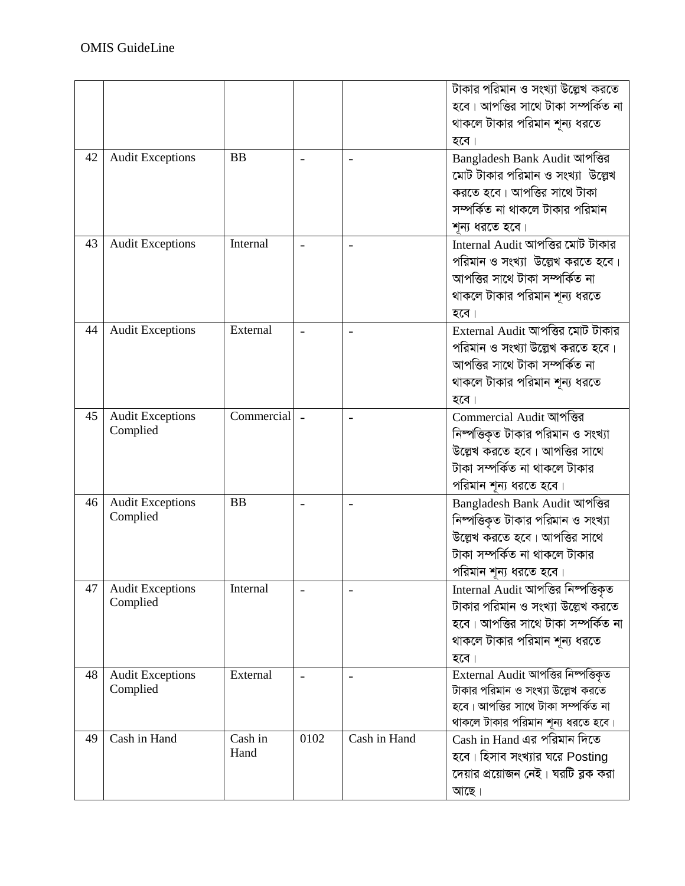|    |                                     |                 |                          |                          | টাকার পরিমান ও সংখ্যা উল্লেখ করতে<br>হবে। আপত্তির সাথে টাকা সম্পর্কিত না<br>থাকলে টাকার পরিমান শূন্য ধরতে<br>হবে।                                               |
|----|-------------------------------------|-----------------|--------------------------|--------------------------|-----------------------------------------------------------------------------------------------------------------------------------------------------------------|
| 42 | <b>Audit Exceptions</b>             | <b>BB</b>       |                          |                          | Bangladesh Bank Audit আপত্তির<br>মোট টাকার পরিমান ও সংখ্যা উল্লেখ<br>করতে হবে। আপত্তির সাথে টাকা<br>সম্পর্কিত না থাকলে টাকার পরিমান<br>শূন্য ধরতে হবে।          |
| 43 | <b>Audit Exceptions</b>             | Internal        |                          |                          | Internal Audit আপত্তির মোট টাকার<br>পরিমান ও সংখ্যা উল্লেখ করতে হবে।<br>আপত্তির সাথে টাকা সম্পর্কিত না<br>থাকলে টাকার পরিমান শূন্য ধরতে<br>হবে।                 |
| 44 | <b>Audit Exceptions</b>             | External        | $\overline{\phantom{a}}$ | $\overline{\phantom{0}}$ | External Audit আপত্তির মোট টাকার<br>পরিমান ও সংখ্যা উল্লেখ করতে হবে।<br>আপত্তির সাথে টাকা সম্পর্কিত না<br>থাকলে টাকার পরিমান শূন্য ধরতে<br>হবে।                 |
| 45 | <b>Audit Exceptions</b><br>Complied | Commercial      |                          | $\overline{\phantom{0}}$ | Commercial Audit আপত্তির<br>নিষ্পত্তিকৃত টাকার পরিমান ও সংখ্যা<br>উল্লেখ করতে হবে। আপত্তির সাথে<br>টাকা সম্পর্কিত না থাকলে টাকার<br>পরিমান শূন্য ধরতে হবে।      |
| 46 | <b>Audit Exceptions</b><br>Complied | <b>BB</b>       |                          |                          | Bangladesh Bank Audit আপত্তির<br>নিম্পত্তিকৃত টাকার পরিমান ও সংখ্যা<br>উল্লেখ করতে হবে। আপত্তির সাথে<br>টাকা সম্পৰ্কিত না থাকলে টাকার<br>পরিমান শূন্য ধরতে হবে। |
| 47 | <b>Audit Exceptions</b><br>Complied | Internal        |                          |                          | Internal Audit আপত্তির নিম্পত্তিকৃত<br>টাকার পরিমান ও সংখ্যা উল্লেখ করতে<br>হবে। আপত্তির সাথে টাকা সম্পর্কিত না<br>থাকলে টাকার পরিমান শূন্য ধরতে<br>হবে।        |
| 48 | <b>Audit Exceptions</b><br>Complied | External        |                          |                          | External Audit আপত্তির নিম্পত্তিকৃত<br>টাকার পরিমান ও সংখ্যা উল্লেখ করতে<br>হবে। আপত্তির সাথে টাকা সম্পর্কিত না<br>থাকলে টাকার পরিমান শূন্য ধরতে হবে।           |
| 49 | Cash in Hand                        | Cash in<br>Hand | 0102                     | Cash in Hand             | Cash in Hand এর পরিমান দিতে<br>হবে। হিসাব সংখ্যার ঘরে Posting<br>দেয়ার প্রয়োজন নেই। ঘরটি ব্লক করা<br>আছে।                                                     |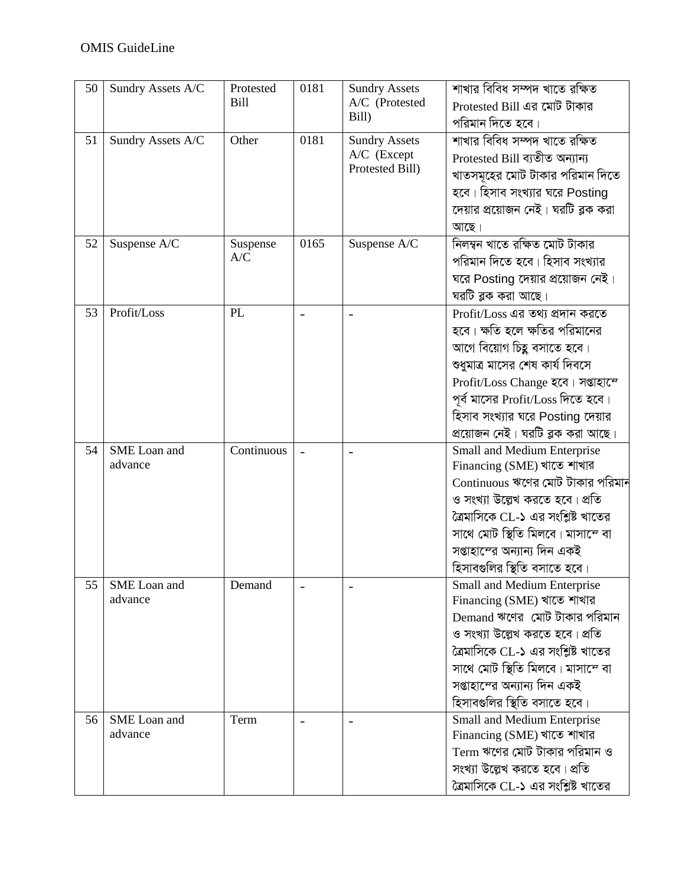| 50 | Sundry Assets A/C       | Protested<br><b>Bill</b> | 0181                     | <b>Sundry Assets</b><br>A/C (Protested<br>Bill)        | শাখার বিবিধ সম্পদ খাতে রক্ষিত<br>Protested Bill এর মোট টাকার<br>পরিমান দিতে হবে।                                                                                                                                                                                                        |
|----|-------------------------|--------------------------|--------------------------|--------------------------------------------------------|-----------------------------------------------------------------------------------------------------------------------------------------------------------------------------------------------------------------------------------------------------------------------------------------|
| 51 | Sundry Assets A/C       | Other                    | 0181                     | <b>Sundry Assets</b><br>A/C (Except<br>Protested Bill) | শাখার বিবিধ সম্পদ খাতে রক্ষিত<br>Protested Bill ব্যতীত অন্যান্য<br>খাতসমূহের মোট টাকার পরিমান দিতে<br>হবে। হিসাব সংখ্যার ঘরে Posting<br>দেয়ার প্রয়োজন নেই। ঘরটি ব্লক করা<br>আছে।                                                                                                      |
| 52 | Suspense A/C            | Suspense<br>A/C          | 0165                     | Suspense A/C                                           | নিলম্বন খাতে রক্ষিত মোট টাকার<br>পরিমান দিতে হবে। হিসাব সংখ্যার<br>ঘরে Posting দেয়ার প্রয়োজন নেই।<br>ঘরটি ব্লক করা আছে।                                                                                                                                                               |
| 53 | Profit/Loss             | PL                       |                          |                                                        | Profit/Loss এর তথ্য প্রদান করতে<br>হবে। ক্ষতি হলে ক্ষতির পরিমানের<br>আগে বিয়োগ চিহ্ন বসাতে হবে।<br>শুধুমাত্র মাসের শেষ কার্য দিবসে<br>Profit/Loss Change হবে। সপ্তাহান্দে<br>পূর্ব মাসের Profit/Loss দিতে হবে।<br>হিসাব সংখ্যার ঘরে Posting দেয়ার<br>প্রয়োজন নেই। ঘরটি ব্লক করা আছে। |
| 54 | SME Loan and<br>advance | Continuous               |                          |                                                        | Small and Medium Enterprise<br>Financing (SME) খাতে শাখার<br>$\rm~Continuous$ ঋণের মোট টাকার পরিমান<br>ও সংখ্যা উল্লেখ করতে হবে। প্রতি<br>ত্রৈমাসিকে CL-১ এর সংশ্লিষ্ট খাতের<br>সাথে মোট স্থিতি মিলবে। মাসান্দে বা<br>সপ্তাহান্দের অন্যান্য দিন একই<br>হিসাবগুলির স্থিতি বসাতে হবে।     |
| 55 | SME Loan and<br>advance | Demand                   | $\overline{\phantom{a}}$ |                                                        | <b>Small and Medium Enterprise</b><br>Financing (SME) খাতে শাখার<br>Demand ঋণের মোট টাকার পরিমান<br>ও সংখ্যা উল্লেখ করতে হবে। প্রতি<br>ত্রৈমাসিকে CL-১ এর সংশ্লিষ্ট খাতের<br>সাথে মোট স্থিতি মিলবে। মাসান্দে বা<br>সপ্তাহান্দের অন্যান্য দিন একই<br>হিসাবগুলির স্থিতি বসাতে হবে।        |
| 56 | SME Loan and<br>advance | Term                     | $\overline{\phantom{a}}$ | $\overline{\phantom{0}}$                               | Small and Medium Enterprise<br>Financing (SME) খাতে শাখার<br>Term ঋণের মোট টাকার পরিমান ও<br>সংখ্যা উল্লেখ করতে হবে। প্রতি<br>ত্রৈমাসিকে CL-১ এর সংশ্লিষ্ট খাতের                                                                                                                        |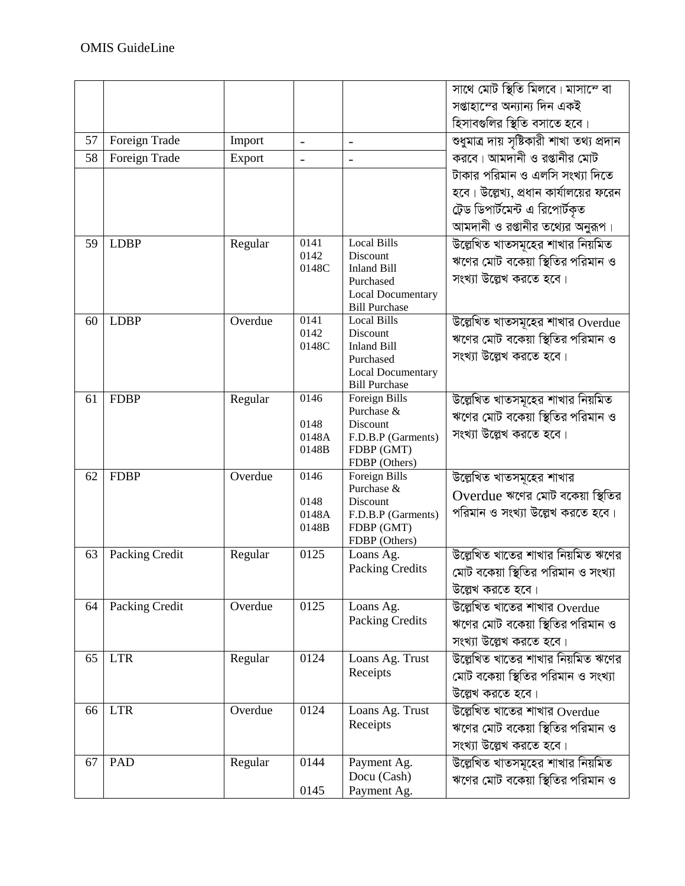| সপ্তাহান্দের অন্যান্য দিন একই<br>হিসাবগুলির স্থিতি বসাতে হবে।<br>শুধুমাত্র দায় সৃষ্টিকারী শাখা তথ্য প্রদান<br>57<br>Foreign Trade<br>Import<br>$\blacksquare$<br>$\blacksquare$<br>করবে। আমদানী ও রপ্তানীর মোট<br>58<br>Foreign Trade<br>Export<br>$\overline{a}$<br>$\overline{a}$<br>টাকার পরিমান ও এলসি সংখ্যা দিতে<br>হবে। উল্লেখ্য, প্রধান কার্যালয়ের ফরেন<br>ট্রেড ডিপার্টমেন্ট এ রিপোর্টকৃত<br>আমদানী ও রপ্তানীর তথ্যের অনুরূপ।<br>উল্লেখিত খাতসমূহের শাখার নিয়মিত<br><b>Local Bills</b><br><b>LDBP</b><br>Regular<br>0141<br>59<br>0142<br>Discount<br>ঋণের মোট বকেয়া স্থিতির পরিমান ও<br><b>Inland Bill</b><br>0148C<br>সংখ্যা উল্লেখ করতে হবে।<br>Purchased<br><b>Local Documentary</b><br><b>Bill Purchase</b><br>Overdue<br><b>Local Bills</b><br><b>LDBP</b><br>0141<br>উল্লেখিত খাতসমূহের শাখার Overdue<br>60<br>0142<br>Discount<br>ঋণের মোট বকেয়া স্থিতির পরিমান ও<br>0148C<br><b>Inland Bill</b><br>সংখ্যা উল্লেখ করতে হবে। |  |  |           | সাথে মোট স্থিতি মিলবে। মাসাম্দে বা |
|---------------------------------------------------------------------------------------------------------------------------------------------------------------------------------------------------------------------------------------------------------------------------------------------------------------------------------------------------------------------------------------------------------------------------------------------------------------------------------------------------------------------------------------------------------------------------------------------------------------------------------------------------------------------------------------------------------------------------------------------------------------------------------------------------------------------------------------------------------------------------------------------------------------------------------------------------|--|--|-----------|------------------------------------|
|                                                                                                                                                                                                                                                                                                                                                                                                                                                                                                                                                                                                                                                                                                                                                                                                                                                                                                                                                   |  |  |           |                                    |
|                                                                                                                                                                                                                                                                                                                                                                                                                                                                                                                                                                                                                                                                                                                                                                                                                                                                                                                                                   |  |  |           |                                    |
|                                                                                                                                                                                                                                                                                                                                                                                                                                                                                                                                                                                                                                                                                                                                                                                                                                                                                                                                                   |  |  |           |                                    |
|                                                                                                                                                                                                                                                                                                                                                                                                                                                                                                                                                                                                                                                                                                                                                                                                                                                                                                                                                   |  |  |           |                                    |
|                                                                                                                                                                                                                                                                                                                                                                                                                                                                                                                                                                                                                                                                                                                                                                                                                                                                                                                                                   |  |  |           |                                    |
|                                                                                                                                                                                                                                                                                                                                                                                                                                                                                                                                                                                                                                                                                                                                                                                                                                                                                                                                                   |  |  |           |                                    |
|                                                                                                                                                                                                                                                                                                                                                                                                                                                                                                                                                                                                                                                                                                                                                                                                                                                                                                                                                   |  |  |           |                                    |
|                                                                                                                                                                                                                                                                                                                                                                                                                                                                                                                                                                                                                                                                                                                                                                                                                                                                                                                                                   |  |  |           |                                    |
|                                                                                                                                                                                                                                                                                                                                                                                                                                                                                                                                                                                                                                                                                                                                                                                                                                                                                                                                                   |  |  |           |                                    |
|                                                                                                                                                                                                                                                                                                                                                                                                                                                                                                                                                                                                                                                                                                                                                                                                                                                                                                                                                   |  |  |           |                                    |
|                                                                                                                                                                                                                                                                                                                                                                                                                                                                                                                                                                                                                                                                                                                                                                                                                                                                                                                                                   |  |  |           |                                    |
|                                                                                                                                                                                                                                                                                                                                                                                                                                                                                                                                                                                                                                                                                                                                                                                                                                                                                                                                                   |  |  |           |                                    |
|                                                                                                                                                                                                                                                                                                                                                                                                                                                                                                                                                                                                                                                                                                                                                                                                                                                                                                                                                   |  |  |           |                                    |
|                                                                                                                                                                                                                                                                                                                                                                                                                                                                                                                                                                                                                                                                                                                                                                                                                                                                                                                                                   |  |  |           |                                    |
|                                                                                                                                                                                                                                                                                                                                                                                                                                                                                                                                                                                                                                                                                                                                                                                                                                                                                                                                                   |  |  |           |                                    |
|                                                                                                                                                                                                                                                                                                                                                                                                                                                                                                                                                                                                                                                                                                                                                                                                                                                                                                                                                   |  |  | Purchased |                                    |
| <b>Local Documentary</b><br><b>Bill Purchase</b>                                                                                                                                                                                                                                                                                                                                                                                                                                                                                                                                                                                                                                                                                                                                                                                                                                                                                                  |  |  |           |                                    |
| উল্লেখিত খাতসমূহের শাখার নিয়মিত<br>0146<br>Foreign Bills<br>61<br><b>FDBP</b><br>Regular                                                                                                                                                                                                                                                                                                                                                                                                                                                                                                                                                                                                                                                                                                                                                                                                                                                         |  |  |           |                                    |
| Purchase &<br>ঋণের মোট বকেয়া স্থিতির পরিমান ও                                                                                                                                                                                                                                                                                                                                                                                                                                                                                                                                                                                                                                                                                                                                                                                                                                                                                                    |  |  |           |                                    |
| 0148<br>Discount<br>সংখ্যা উল্লেখ করতে হবে।                                                                                                                                                                                                                                                                                                                                                                                                                                                                                                                                                                                                                                                                                                                                                                                                                                                                                                       |  |  |           |                                    |
| 0148A<br>F.D.B.P (Garments)<br>0148B<br>FDBP (GMT)                                                                                                                                                                                                                                                                                                                                                                                                                                                                                                                                                                                                                                                                                                                                                                                                                                                                                                |  |  |           |                                    |
| FDBP (Others)                                                                                                                                                                                                                                                                                                                                                                                                                                                                                                                                                                                                                                                                                                                                                                                                                                                                                                                                     |  |  |           |                                    |
| 0146<br>Foreign Bills<br><b>FDBP</b><br>Overdue<br>উল্লেখিত খাতসমূহের শাখার<br>62                                                                                                                                                                                                                                                                                                                                                                                                                                                                                                                                                                                                                                                                                                                                                                                                                                                                 |  |  |           |                                    |
| Purchase &<br>Overdue ঋণের মোট বকেয়া স্থিতির<br>0148<br>Discount                                                                                                                                                                                                                                                                                                                                                                                                                                                                                                                                                                                                                                                                                                                                                                                                                                                                                 |  |  |           |                                    |
| পরিমান ও সংখ্যা উল্লেখ করতে হবে।<br>0148A<br>F.D.B.P (Garments)                                                                                                                                                                                                                                                                                                                                                                                                                                                                                                                                                                                                                                                                                                                                                                                                                                                                                   |  |  |           |                                    |
| 0148B<br>FDBP (GMT)                                                                                                                                                                                                                                                                                                                                                                                                                                                                                                                                                                                                                                                                                                                                                                                                                                                                                                                               |  |  |           |                                    |
| FDBP (Others)<br>উল্লেখিত খাতের শাখার নিয়মিত ঋণের<br>Packing Credit<br>0125<br>63<br>Regular<br>Loans Ag.                                                                                                                                                                                                                                                                                                                                                                                                                                                                                                                                                                                                                                                                                                                                                                                                                                        |  |  |           |                                    |
| Packing Credits<br>মোট বকেয়া স্থিতির পরিমান ও সংখ্যা                                                                                                                                                                                                                                                                                                                                                                                                                                                                                                                                                                                                                                                                                                                                                                                                                                                                                             |  |  |           |                                    |
| উল্লেখ করতে হবে।                                                                                                                                                                                                                                                                                                                                                                                                                                                                                                                                                                                                                                                                                                                                                                                                                                                                                                                                  |  |  |           |                                    |
| উল্লেখিত খাতের শাখার $\rm{O}$ verdue<br>Packing Credit<br>Overdue<br>0125<br>64<br>Loans Ag.                                                                                                                                                                                                                                                                                                                                                                                                                                                                                                                                                                                                                                                                                                                                                                                                                                                      |  |  |           |                                    |
| Packing Credits<br>ঋণের মোট বকেয়া স্থিতির পরিমান ও                                                                                                                                                                                                                                                                                                                                                                                                                                                                                                                                                                                                                                                                                                                                                                                                                                                                                               |  |  |           |                                    |
| সংখ্যা উল্লেখ করতে হবে।                                                                                                                                                                                                                                                                                                                                                                                                                                                                                                                                                                                                                                                                                                                                                                                                                                                                                                                           |  |  |           |                                    |
| উল্লেখিত খাতের শাখার নিয়মিত ঋণের<br><b>LTR</b><br>0124<br>Regular<br>Loans Ag. Trust<br>65                                                                                                                                                                                                                                                                                                                                                                                                                                                                                                                                                                                                                                                                                                                                                                                                                                                       |  |  |           |                                    |
| Receipts<br>মোট বকেয়া স্থিতির পরিমান ও সংখ্যা                                                                                                                                                                                                                                                                                                                                                                                                                                                                                                                                                                                                                                                                                                                                                                                                                                                                                                    |  |  |           |                                    |
|                                                                                                                                                                                                                                                                                                                                                                                                                                                                                                                                                                                                                                                                                                                                                                                                                                                                                                                                                   |  |  |           |                                    |
| উল্লেখ করতে হবে।<br><b>LTR</b><br>Overdue<br>0124                                                                                                                                                                                                                                                                                                                                                                                                                                                                                                                                                                                                                                                                                                                                                                                                                                                                                                 |  |  |           |                                    |
| উল্লেখিত খাতের শাখার $O$ verdue<br>Loans Ag. Trust<br>66<br>Receipts                                                                                                                                                                                                                                                                                                                                                                                                                                                                                                                                                                                                                                                                                                                                                                                                                                                                              |  |  |           |                                    |
| ঋণের মোট বকেয়া স্থিতির পরিমান ও                                                                                                                                                                                                                                                                                                                                                                                                                                                                                                                                                                                                                                                                                                                                                                                                                                                                                                                  |  |  |           |                                    |
| সংখ্যা উল্লেখ করতে হবে।                                                                                                                                                                                                                                                                                                                                                                                                                                                                                                                                                                                                                                                                                                                                                                                                                                                                                                                           |  |  |           |                                    |
| উল্লেখিত খাতসমূহের শাখার নিয়মিত<br>PAD<br>Regular<br>0144<br>67<br>Payment Ag.<br>Docu (Cash)                                                                                                                                                                                                                                                                                                                                                                                                                                                                                                                                                                                                                                                                                                                                                                                                                                                    |  |  |           |                                    |
| ঋণের মোট বকেয়া স্থিতির পরিমান ও<br>0145<br>Payment Ag.                                                                                                                                                                                                                                                                                                                                                                                                                                                                                                                                                                                                                                                                                                                                                                                                                                                                                           |  |  |           |                                    |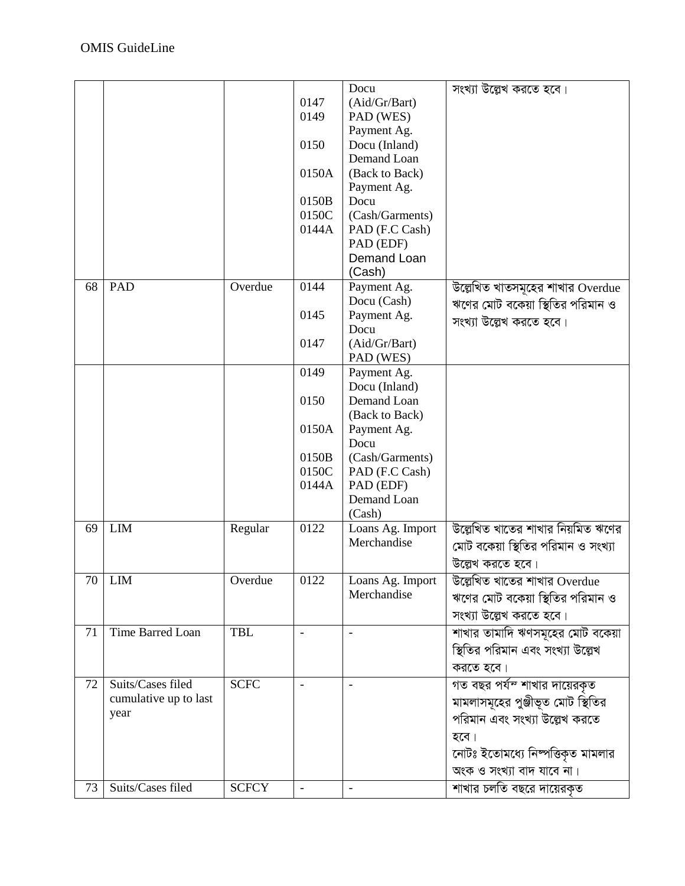|    |                       |              |                          | Docu                            | সংখ্যা উল্লেখ করতে হবে।                           |
|----|-----------------------|--------------|--------------------------|---------------------------------|---------------------------------------------------|
|    |                       |              | 0147                     | (Aid/Gr/Bart)                   |                                                   |
|    |                       |              | 0149                     | PAD (WES)                       |                                                   |
|    |                       |              |                          | Payment Ag.                     |                                                   |
|    |                       |              | 0150                     | Docu (Inland)                   |                                                   |
|    |                       |              |                          | Demand Loan                     |                                                   |
|    |                       |              | 0150A                    | (Back to Back)                  |                                                   |
|    |                       |              |                          | Payment Ag.                     |                                                   |
|    |                       |              | 0150B                    | Docu                            |                                                   |
|    |                       |              | 0150C                    | (Cash/Garments)                 |                                                   |
|    |                       |              | 0144A                    | PAD (F.C Cash)                  |                                                   |
|    |                       |              |                          | PAD (EDF)                       |                                                   |
|    |                       |              |                          | Demand Loan                     |                                                   |
|    |                       |              |                          | (Cash)                          |                                                   |
| 68 | <b>PAD</b>            | Overdue      | 0144                     | Payment Ag.                     | উল্লেখিত খাতসমূহের শাখার Overdue                  |
|    |                       |              |                          | Docu (Cash)                     | ঋণের মোট বকেয়া স্থিতির পরিমান ও                  |
|    |                       |              | 0145                     | Payment Ag.                     |                                                   |
|    |                       |              |                          | Docu                            | সংখ্যা উল্লেখ করতে হবে।                           |
|    |                       |              | 0147                     | (Aid/Gr/Bart)                   |                                                   |
|    |                       |              |                          | PAD (WES)                       |                                                   |
|    |                       |              | 0149                     | Payment Ag.                     |                                                   |
|    |                       |              |                          | Docu (Inland)                   |                                                   |
|    |                       |              | 0150                     | Demand Loan                     |                                                   |
|    |                       |              |                          | (Back to Back)                  |                                                   |
|    |                       |              | 0150A                    | Payment Ag.                     |                                                   |
|    |                       |              |                          | Docu                            |                                                   |
|    |                       |              | 0150B                    | (Cash/Garments)                 |                                                   |
|    |                       |              | 0150C                    | PAD (F.C Cash)                  |                                                   |
|    |                       |              | 0144A                    | PAD (EDF)                       |                                                   |
|    |                       |              |                          | Demand Loan                     |                                                   |
|    |                       |              |                          | (Cash)                          |                                                   |
| 69 | <b>LIM</b>            | Regular      | 0122                     | Loans Ag. Import                | উল্লেখিত খাতের শাখার নিয়মিত ঋণের                 |
|    |                       |              |                          | Merchandise                     | মোট বকেয়া স্থিতির পরিমান ও সংখ্যা                |
|    |                       |              |                          |                                 | উল্লেখ করতে হবে।                                  |
|    |                       | Overdue      | 0122                     |                                 |                                                   |
|    | 70 LIM                |              |                          | Loans Ag. Import<br>Merchandise | উল্লেখিত খাতের শাখার $\overline{\text{O}}$ verdue |
|    |                       |              |                          |                                 | ঋণের মোট বকেয়া স্থিতির পরিমান ও                  |
|    |                       |              |                          |                                 | সংখ্যা উল্লেখ করতে হবে।                           |
| 71 | Time Barred Loan      | <b>TBL</b>   | $\overline{\phantom{a}}$ | $\overline{\phantom{a}}$        | শাখার তামাদি ঋণসমূহের মোট বকেয়া                  |
|    |                       |              |                          |                                 | স্থিতির পরিমান এবং সংখ্যা উল্লেখ                  |
|    |                       |              |                          |                                 | করতে হবে।                                         |
|    |                       |              |                          |                                 |                                                   |
| 72 | Suits/Cases filed     | <b>SCFC</b>  | $\overline{\phantom{a}}$ |                                 | গত বছর পর্য <sup>ন</sup> শাখার দায়েরকৃত          |
|    | cumulative up to last |              |                          |                                 | মামলাসমূহের পুঞ্জীভূত মোট স্থিতির                 |
|    | year                  |              |                          |                                 | পরিমান এবং সংখ্যা উল্লেখ করতে                     |
|    |                       |              |                          |                                 | হবে।                                              |
|    |                       |              |                          |                                 | নোটঃ ইতোমধ্যে নিষ্পত্তিকৃত মামলার                 |
|    |                       |              |                          |                                 |                                                   |
|    |                       |              |                          |                                 | অংক ও সংখ্যা বাদ যাবে না।                         |
| 73 | Suits/Cases filed     | <b>SCFCY</b> | $\bar{\phantom{a}}$      | $\overline{a}$                  | শাখার চলতি বছরে দায়েরকৃত                         |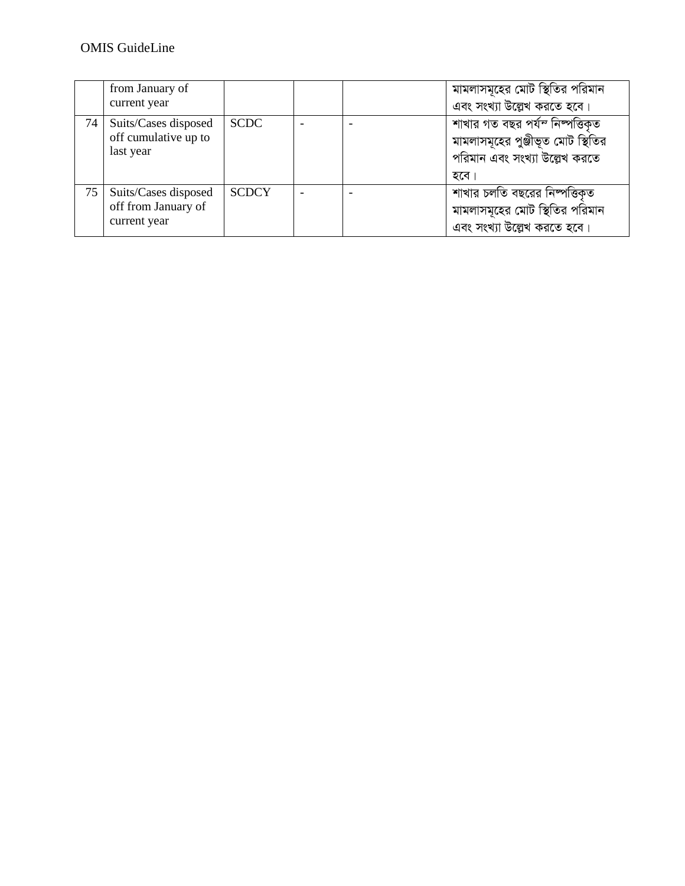## OMIS GuideLine

|    | from January of      |              |  | মামলাসমূহের মোট স্থিতির পরিমান    |
|----|----------------------|--------------|--|-----------------------------------|
|    | current year         |              |  | এবং সংখ্যা উল্লেখ করতে হবে।       |
| 74 | Suits/Cases disposed | <b>SCDC</b>  |  | শাখার গত বছর পর্যন নিম্পত্তিকৃত   |
|    | off cumulative up to |              |  | মামলাসমূহের পুঞ্জীভূত মোট স্থিতির |
|    | last year            |              |  | পরিমান এবং সংখ্যা উল্লেখ করতে     |
|    |                      |              |  | হবে                               |
| 75 | Suits/Cases disposed | <b>SCDCY</b> |  | শাখার চলতি বছরের নিম্পত্তিকৃত     |
|    | off from January of  |              |  | মামলাসমূহের মোট স্থিতির পরিমান    |
|    | current year         |              |  | এবং সংখ্যা উল্লেখ করতে হবে।       |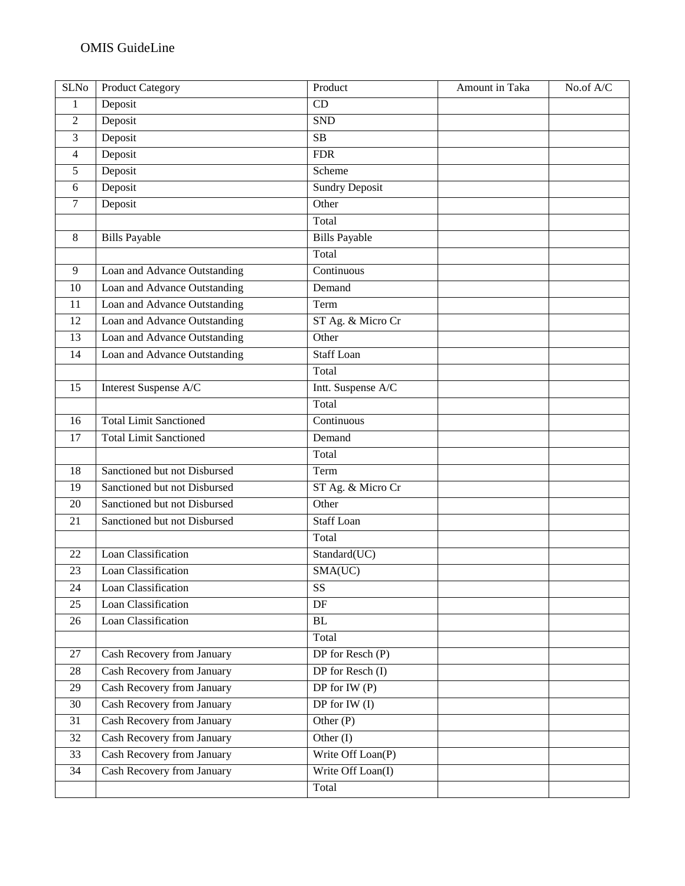| <b>SLNo</b>     | <b>Product Category</b>           | Product               | Amount in Taka | No.of A/C |
|-----------------|-----------------------------------|-----------------------|----------------|-----------|
| 1               | Deposit                           | CD                    |                |           |
| $\mathfrak{2}$  | Deposit                           | <b>SND</b>            |                |           |
| 3               | Deposit                           | SB                    |                |           |
| $\overline{4}$  | Deposit                           | <b>FDR</b>            |                |           |
| 5               | Deposit                           | Scheme                |                |           |
| 6               | Deposit                           | <b>Sundry Deposit</b> |                |           |
| $\tau$          | Deposit                           | Other                 |                |           |
|                 |                                   | Total                 |                |           |
| 8               | <b>Bills Payable</b>              | <b>Bills Payable</b>  |                |           |
|                 |                                   | Total                 |                |           |
| 9               | Loan and Advance Outstanding      | Continuous            |                |           |
| 10              | Loan and Advance Outstanding      | Demand                |                |           |
| 11              | Loan and Advance Outstanding      | Term                  |                |           |
| 12              | Loan and Advance Outstanding      | ST Ag. & Micro Cr     |                |           |
| 13              | Loan and Advance Outstanding      | Other                 |                |           |
| $\overline{14}$ | Loan and Advance Outstanding      | <b>Staff Loan</b>     |                |           |
|                 |                                   | Total                 |                |           |
| 15              | Interest Suspense A/C             | Intt. Suspense A/C    |                |           |
|                 |                                   | Total                 |                |           |
| 16              | <b>Total Limit Sanctioned</b>     | Continuous            |                |           |
| 17              | <b>Total Limit Sanctioned</b>     | Demand                |                |           |
|                 |                                   | Total                 |                |           |
| 18              | Sanctioned but not Disbursed      | Term                  |                |           |
| 19              | Sanctioned but not Disbursed      | ST Ag. & Micro Cr     |                |           |
| 20              | Sanctioned but not Disbursed      | Other                 |                |           |
| 21              | Sanctioned but not Disbursed      | <b>Staff Loan</b>     |                |           |
|                 |                                   | Total                 |                |           |
| 22              | Loan Classification               | Standard(UC)          |                |           |
| 23              | Loan Classification               | SMA(UC)               |                |           |
| 24              | Loan Classification               | SS                    |                |           |
| 25              | Loan Classification               | $\overline{DF}$       |                |           |
| 26              | Loan Classification               | $\rm BL$              |                |           |
|                 |                                   | Total                 |                |           |
| 27              | Cash Recovery from January        | DP for Resch $(P)$    |                |           |
| 28              | <b>Cash Recovery from January</b> | DP for Resch (I)      |                |           |
| 29              | Cash Recovery from January        | DP for IW $(P)$       |                |           |
| 30              | Cash Recovery from January        | $DP$ for IW(I)        |                |           |
| 31              | <b>Cash Recovery from January</b> | Other $(P)$           |                |           |
| 32              | Cash Recovery from January        | Other $(I)$           |                |           |
| 33              | Cash Recovery from January        | Write Off Loan(P)     |                |           |
| 34              | Cash Recovery from January        | Write Off Loan(I)     |                |           |
|                 |                                   | Total                 |                |           |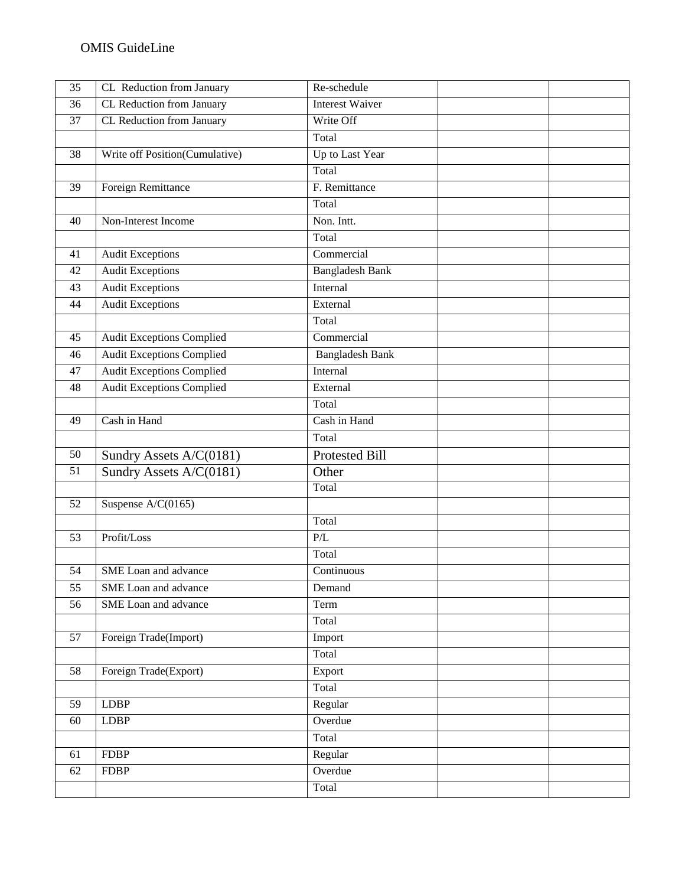| 35 | CL Reduction from January        | Re-schedule            |  |
|----|----------------------------------|------------------------|--|
| 36 | CL Reduction from January        | <b>Interest Waiver</b> |  |
| 37 | CL Reduction from January        | Write Off              |  |
|    |                                  | Total                  |  |
| 38 | Write off Position(Cumulative)   | Up to Last Year        |  |
|    |                                  | Total                  |  |
| 39 | Foreign Remittance               | F. Remittance          |  |
|    |                                  | Total                  |  |
| 40 | Non-Interest Income              | Non. Intt.             |  |
|    |                                  | Total                  |  |
| 41 | <b>Audit Exceptions</b>          | Commercial             |  |
| 42 | <b>Audit Exceptions</b>          | <b>Bangladesh Bank</b> |  |
| 43 | <b>Audit Exceptions</b>          | Internal               |  |
| 44 | <b>Audit Exceptions</b>          | External               |  |
|    |                                  | Total                  |  |
| 45 | <b>Audit Exceptions Complied</b> | Commercial             |  |
| 46 | <b>Audit Exceptions Complied</b> | <b>Bangladesh Bank</b> |  |
| 47 | <b>Audit Exceptions Complied</b> | Internal               |  |
| 48 | <b>Audit Exceptions Complied</b> | External               |  |
|    |                                  | Total                  |  |
| 49 | Cash in Hand                     | Cash in Hand           |  |
|    |                                  | Total                  |  |
| 50 | Sundry Assets A/C(0181)          | Protested Bill         |  |
| 51 | Sundry Assets A/C(0181)          | Other                  |  |
|    |                                  | Total                  |  |
| 52 | Suspense $A/C(0165)$             |                        |  |
|    |                                  | Total                  |  |
| 53 | Profit/Loss                      | P/L                    |  |
|    |                                  | Total                  |  |
| 54 | SME Loan and advance             | Continuous             |  |
| 55 | SME Loan and advance             | Demand                 |  |
| 56 | SME Loan and advance             | Term                   |  |
|    |                                  | Total                  |  |
| 57 | Foreign Trade(Import)            | Import                 |  |
|    |                                  | Total                  |  |
| 58 | Foreign Trade(Export)            | Export                 |  |
|    |                                  | Total                  |  |
| 59 | <b>LDBP</b>                      | Regular                |  |
| 60 | <b>LDBP</b>                      | Overdue                |  |
|    |                                  | Total                  |  |
| 61 | <b>FDBP</b>                      | Regular                |  |
| 62 | <b>FDBP</b>                      | Overdue                |  |
|    |                                  | Total                  |  |